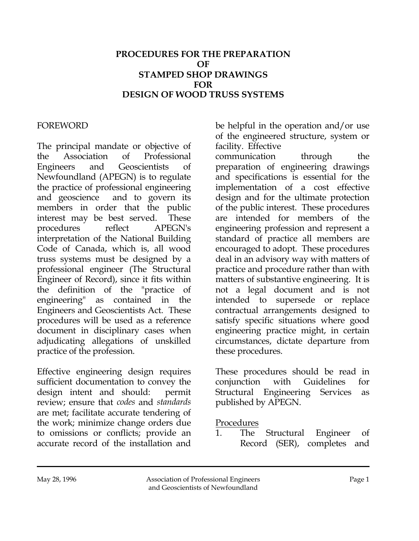### **PROCEDURES FOR THE PREPARATION OF STAMPED SHOP DRAWINGS FOR DESIGN OF WOOD TRUSS SYSTEMS**

#### FOREWORD

The principal mandate or objective of the Association of Professional Engineers and Geoscientists of Newfoundland (APEGN) is to regulate the practice of professional engineering and geoscience and to govern its members in order that the public interest may be best served. These procedures reflect APEGN's interpretation of the National Building Code of Canada, which is, all wood truss systems must be designed by a professional engineer (The Structural Engineer of Record), since it fits within the definition of the "practice of engineering" as contained in the Engineers and Geoscientists Act. These procedures will be used as a reference document in disciplinary cases when adjudicating allegations of unskilled practice of the profession.

Effective engineering design requires sufficient documentation to convey the design intent and should: permit review; ensure that *codes* and *standards* are met; facilitate accurate tendering of the work; minimize change orders due to omissions or conflicts; provide an accurate record of the installation and

be helpful in the operation and/or use of the engineered structure, system or facility. Effective

communication through the preparation of engineering drawings and specifications is essential for the implementation of a cost effective design and for the ultimate protection of the public interest. These procedures are intended for members of the engineering profession and represent a standard of practice all members are encouraged to adopt. These procedures deal in an advisory way with matters of practice and procedure rather than with matters of substantive engineering. It is not a legal document and is not intended to supersede or replace contractual arrangements designed to satisfy specific situations where good engineering practice might, in certain circumstances, dictate departure from these procedures.

These procedures should be read in conjunction with Guidelines for Structural Engineering Services as published by APEGN.

#### Procedures

1. The Structural Engineer of Record (SER), completes and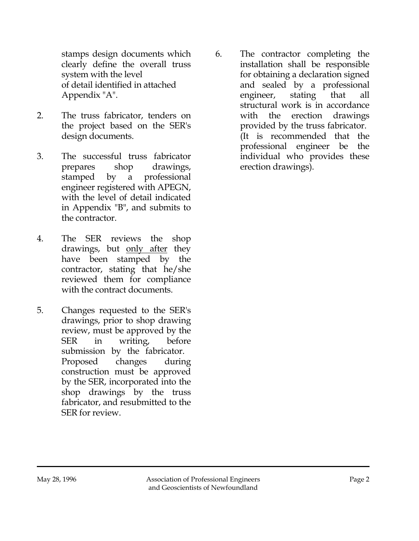stamps design documents which clearly define the overall truss system with the level of detail identified in attached Appendix "A".

- 2. The truss fabricator, tenders on the project based on the SER's design documents.
- 3. The successful truss fabricator prepares shop drawings, stamped by a professional engineer registered with APEGN, with the level of detail indicated in Appendix "B", and submits to the contractor.
- 4. The SER reviews the shop drawings, but only after they have been stamped by the contractor, stating that he/she reviewed them for compliance with the contract documents.
- 5. Changes requested to the SER's drawings, prior to shop drawing review, must be approved by the SER in writing, before submission by the fabricator. Proposed changes during construction must be approved by the SER, incorporated into the shop drawings by the truss fabricator, and resubmitted to the SER for review.

6. The contractor completing the installation shall be responsible for obtaining a declaration signed and sealed by a professional engineer, stating that all structural work is in accordance with the erection drawings provided by the truss fabricator. (It is recommended that the professional engineer be the individual who provides these erection drawings).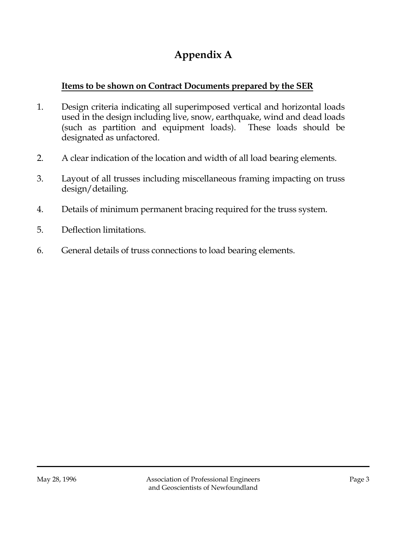# **Appendix A**

### **Items to be shown on Contract Documents prepared by the SER**

- 1. Design criteria indicating all superimposed vertical and horizontal loads used in the design including live, snow, earthquake, wind and dead loads (such as partition and equipment loads). These loads should be designated as unfactored.
- 2. A clear indication of the location and width of all load bearing elements.
- 3. Layout of all trusses including miscellaneous framing impacting on truss design/detailing.
- 4. Details of minimum permanent bracing required for the truss system.
- 5. Deflection limitations.
- 6. General details of truss connections to load bearing elements.